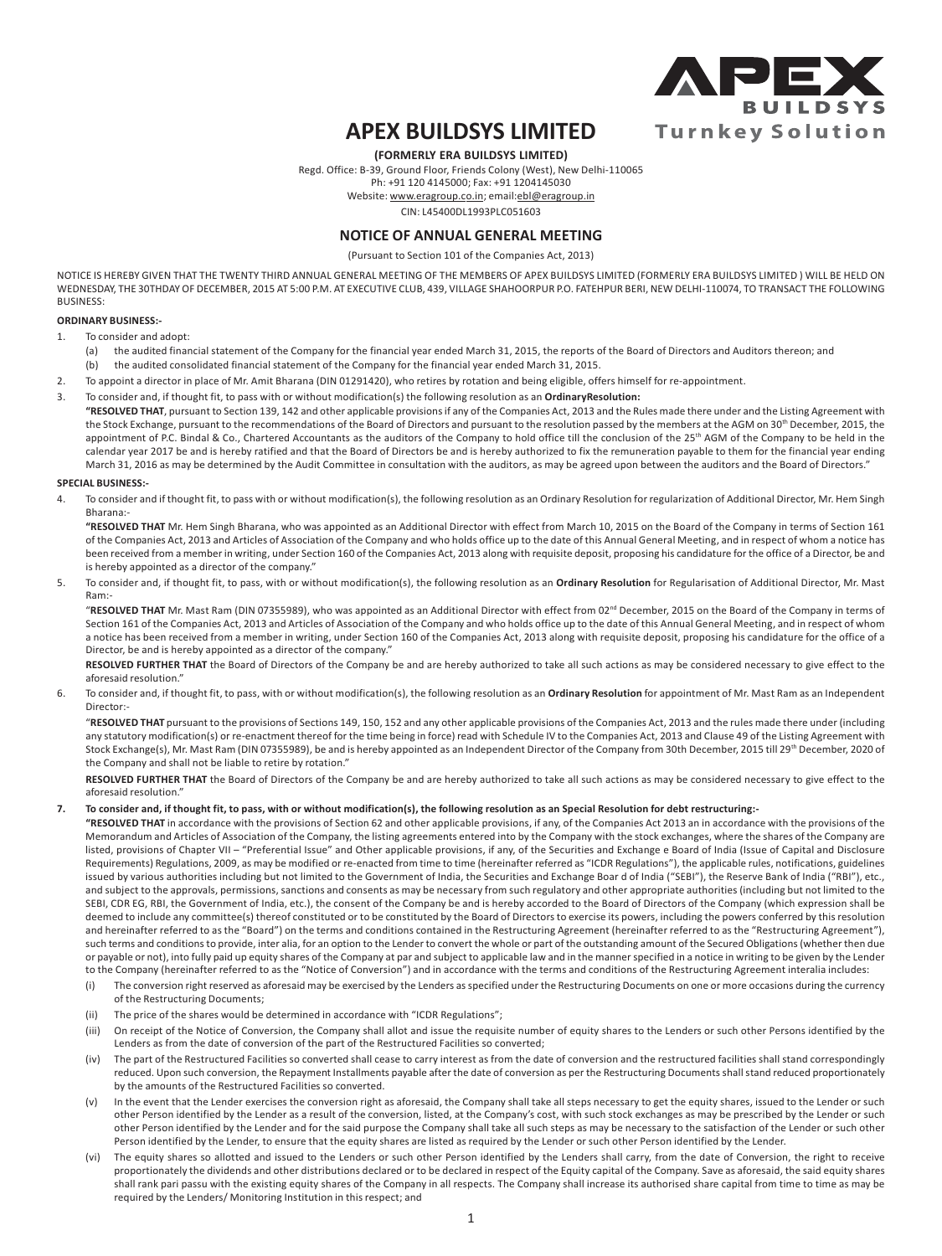

# **APEX BUILDSYS LIMITED**

**(FORMERLY ERA BUILDSYS LIMITED)**

Regd. Office: B-39, Ground Floor, Friends Colony (West), New Delhi-110065

Ph: +91 120 4145000; Fax: +91 1204145030

Website: www.eragroup.co.in; email:ebl@eragroup.in

CIN: L45400DL1993PLC051603

## **NOTICE OF ANNUAL GENERAL MEETING**

(Pursuant to Section 101 of the Companies Act, 2013)

NOTICE IS HEREBY GIVEN THAT THE TWENTY THIRD ANNUAL GENERAL MEETING OF THE MEMBERS OF APEX BUILDSYS LIMITED (FORMERLY ERA BUILDSYS LIMITED ) WILL BE HELD ON WEDNESDAY, THE 30THDAY OF DECEMBER, 2015 AT 5:00 P.M. AT EXECUTIVE CLUB, 439, VILLAGE SHAHOORPUR P.O. FATEHPUR BERI, NEW DELHI-110074, TO TRANSACT THE FOLLOWING **BUSINESS:** 

#### **ORDINARY BUSINESS:-**

- 1. To consider and adopt:
	- (a) the audited financial statement of the Company for the financial year ended March 31, 2015, the reports of the Board of Directors and Auditors thereon; and (b) the audited consolidated financial statement of the Company for the financial year ended March 31, 2015.
- 2. To appoint a director in place of Mr. Amit Bharana (DIN 01291420), who retires by rotation and being eligible, offers himself for re-appointment.
- 3. To consider and, if thought fit, to pass with or without modification(s) the following resolution as an **OrdinaryResolution: "RESOLVED THAT**, pursuant to Section 139, 142 and other applicable provisions if any of the Companies Act, 2013 and the Rules made there under and the Listing Agreement with the Stock Exchange, pursuant to the recommendations of the Board of Directors and pursuant to the resolution passed by the members at the AGM on 30<sup>th</sup> December, 2015, the appointment of P.C. Bindal & Co., Chartered Accountants as the auditors of the Company to hold office till the conclusion of the 25<sup>th</sup> AGM of the Company to be held in the calendar year 2017 be and is hereby ratified and that the Board of Directors be and is hereby authorized to fix the remuneration payable to them for the financial year ending March 31, 2016 as may be determined by the Audit Committee in consultation with the auditors, as may be agreed upon between the auditors and the Board of Directors."

#### **SPECIAL BUSINESS:-**

4. To consider and if thought fit, to pass with or without modification(s), the following resolution as an Ordinary Resolution for regularization of Additional Director, Mr. Hem Singh Bharana:-

**"RESOLVED THAT** Mr. Hem Singh Bharana, who was appointed as an Additional Director with effect from March 10, 2015 on the Board of the Company in terms of Section 161 of the Companies Act, 2013 and Articles of Association of the Company and who holds office up to the date of this Annual General Meeting, and in respect of whom a notice has been received from a member in writing, under Section 160 of the Companies Act, 2013 along with requisite deposit, proposing his candidature for the office of a Director, be and is hereby appointed as a director of the company."

5. To consider and, if thought fit, to pass, with or without modification(s), the following resolution as an **Ordinary Resolution** for Regularisation of Additional Director, Mr. Mast Ram:-

"RESOLVED THAT Mr. Mast Ram (DIN 07355989), who was appointed as an Additional Director with effect from 02<sup>nd</sup> December, 2015 on the Board of the Company in terms of Section 161 of the Companies Act, 2013 and Articles of Association of the Company and who holds office up to the date of this Annual General Meeting, and in respect of whom a notice has been received from a member in writing, under Section 160 of the Companies Act, 2013 along with requisite deposit, proposing his candidature for the office of a Director, be and is hereby appointed as a director of the company."

**RESOLVED FURTHER THAT** the Board of Directors of the Company be and are hereby authorized to take all such actions as may be considered necessary to give effect to the aforesaid resolution."

6. To consider and, if thought fit, to pass, with or without modification(s), the following resolution as an **Ordinary Resolution** for appointment of Mr. Mast Ram as an Independent Director:-

"**RESOLVED THAT** pursuant to the provisions of Sections 149, 150, 152 and any other applicable provisions of the Companies Act, 2013 and the rules made there under (including any statutory modification(s) or re-enactment thereof for the time being in force) read with Schedule IV to the Companies Act, 2013 and Clause 49 of the Listing Agreement with Stock Exchange(s), Mr. Mast Ram (DIN 07355989), be and is hereby appointed as an Independent Director of the Company from 30th December, 2015 till 29th December, 2020 of the Company and shall not be liable to retire by rotation."

**RESOLVED FURTHER THAT** the Board of Directors of the Company be and are hereby authorized to take all such actions as may be considered necessary to give effect to the aforesaid resolution."

#### **7. To consider and, if thought fit, to pass, with or without modification(s), the following resolution as an Special Resolution for debt restructuring:-**

**"RESOLVED THAT** in accordance with the provisions of Section 62 and other applicable provisions, if any, of the Companies Act 2013 an in accordance with the provisions of the Memorandum and Articles of Association of the Company, the listing agreements entered into by the Company with the stock exchanges, where the shares of the Company are listed, provisions of Chapter VII - "Preferential Issue" and Other applicable provisions, if any, of the Securities and Exchange e Board of India (Issue of Capital and Disclosure Requirements) Regulations, 2009, as may be modified or re-enacted from time to time (hereinafter referred as "ICDR Regulations"), the applicable rules, notifications, guidelines issued by various authorities including but not limited to the Government of India, the Securities and Exchange Boar d of India ("SEBI"), the Reserve Bank of India ("RBI"), etc., and subject to the approvals, permissions, sanctions and consents as may be necessary from such regulatory and other appropriate authorities (including but not limited to the SEBI, CDR EG, RBI, the Government of India, etc.), the consent of the Company be and is hereby accorded to the Board of Directors of the Company (which expression shall be deemed to include any committee(s) thereof constituted or to be constituted by the Board of Directors to exercise its powers, including the powers conferred by this resolution and hereinafter referred to as the "Board") on the terms and conditions contained in the Restructuring Agreement (hereinafter referred to as the "Restructuring Agreement"), such terms and conditions to provide, inter alia, for an option to the Lender to convert the whole or part of the outstanding amount of the Secured Obligations (whether then due or payable or not), into fully paid up equity shares of the Company at par and subject to applicable law and in the manner specified in a notice in writing to be given by the Lender to the Company (hereinafter referred to as the "Notice of Conversion") and in accordance with the terms and conditions of the Restructuring Agreement interalia includes:

- (i) The conversion right reserved as aforesaid may be exercised by the Lenders as specified under the Restructuring Documents on one or more occasions during the currency of the Restructuring Documents;
- (ii) The price of the shares would be determined in accordance with "ICDR Regulations";
- (iii) On receipt of the Notice of Conversion, the Company shall allot and issue the requisite number of equity shares to the Lenders or such other Persons identified by the Lenders as from the date of conversion of the part of the Restructured Facilities so converted;
- (iv) The part of the Restructured Facilities so converted shall cease to carry interest as from the date of conversion and the restructured facilities shall stand correspondingly reduced. Upon such conversion, the Repayment Installments payable after the date of conversion as per the Restructuring Documents shall stand reduced proportionately by the amounts of the Restructured Facilities so converted.
- (v) In the event that the Lender exercises the conversion right as aforesaid, the Company shall take all steps necessary to get the equity shares, issued to the Lender or such other Person identified by the Lender as a result of the conversion, listed, at the Company's cost, with such stock exchanges as may be prescribed by the Lender or such other Person identified by the Lender and for the said purpose the Company shall take all such steps as may be necessary to the satisfaction of the Lender or such other Person identified by the Lender, to ensure that the equity shares are listed as required by the Lender or such other Person identified by the Lender.
- (vi) The equity shares so allotted and issued to the Lenders or such other Person identified by the Lenders shall carry, from the date of Conversion, the right to receive proportionately the dividends and other distributions declared or to be declared in respect of the Equity capital of the Company. Save as aforesaid, the said equity shares shall rank pari passu with the existing equity shares of the Company in all respects. The Company shall increase its authorised share capital from time to time as may be required by the Lenders/ Monitoring Institution in this respect; and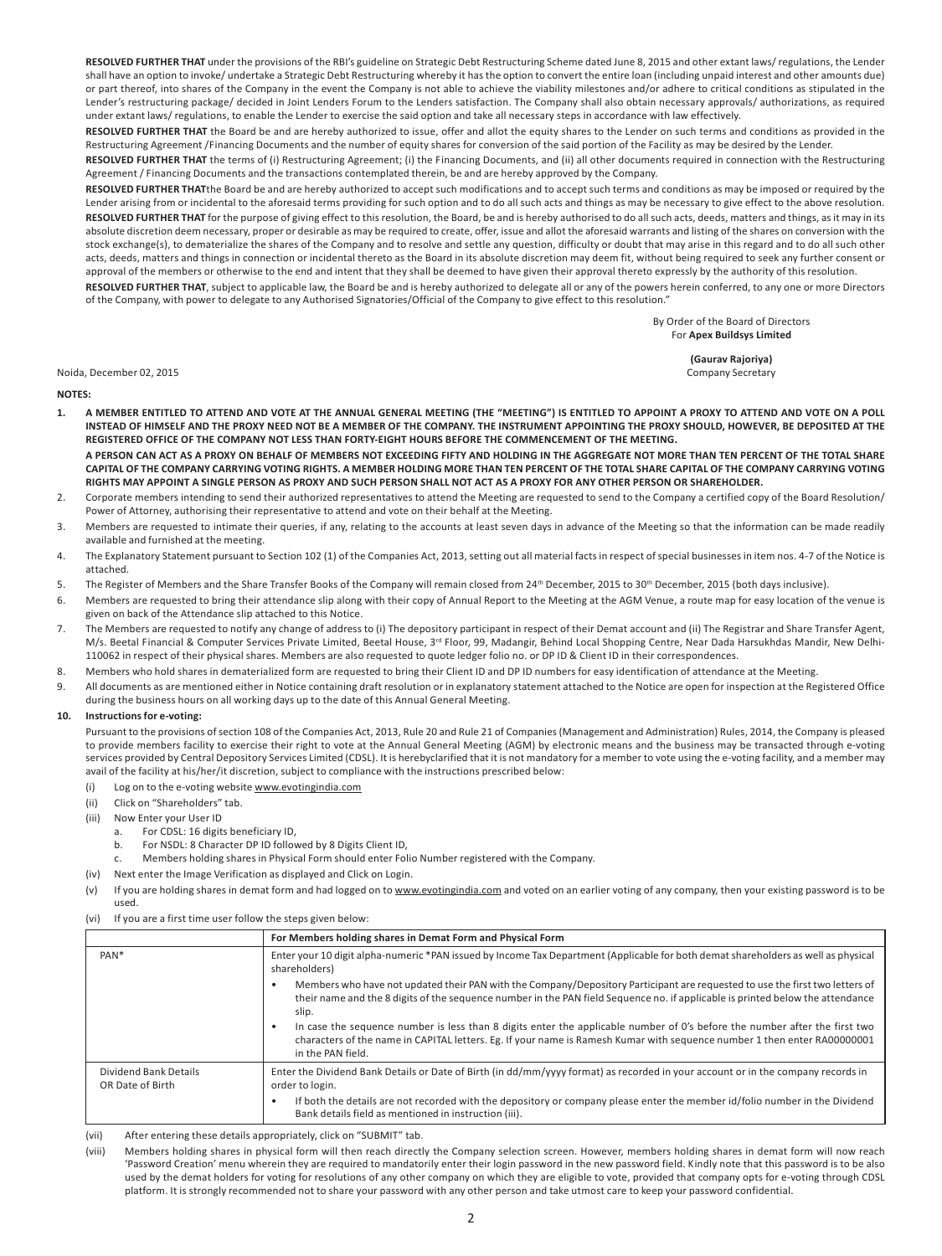**RESOLVED FURTHER THAT** under the provisions of the RBI's guideline on Strategic Debt Restructuring Scheme dated June 8, 2015 and other extant laws/ regulations, the Lender shall have an option to invoke/ undertake a Strategic Debt Restructuring whereby it has the option to convert the entire loan (including unpaid interest and other amounts due) or part thereof, into shares of the Company in the event the Company is not able to achieve the viability milestones and/or adhere to critical conditions as stipulated in the Lender's restructuring package/ decided in Joint Lenders Forum to the Lenders satisfaction. The Company shall also obtain necessary approvals/ authorizations, as required under extant laws/ regulations, to enable the Lender to exercise the said option and take all necessary steps in accordance with law effectively.

**RESOLVED FURTHER THAT** the Board be and are hereby authorized to issue, offer and allot the equity shares to the Lender on such terms and conditions as provided in the Restructuring Agreement /Financing Documents and the number of equity shares for conversion of the said portion of the Facility as may be desired by the Lender.

**RESOLVED FURTHER THAT** the terms of (i) Restructuring Agreement; (i) the Financing Documents, and (ii) all other documents required in connection with the Restructuring Agreement / Financing Documents and the transactions contemplated therein, be and are hereby approved by the Company.

**RESOLVED FURTHER THAT**the Board be and are hereby authorized to accept such modifications and to accept such terms and conditions as may be imposed or required by the Lender arising from or incidental to the aforesaid terms providing for such option and to do all such acts and things as may be necessary to give effect to the above resolution. **RESOLVED FURTHER THAT** for the purpose of giving effect to this resolution, the Board, be and is hereby authorised to do all such acts, deeds, matters and things, as it may in its absolute discretion deem necessary, proper or desirable as may be required to create, offer, issue and allot the aforesaid warrants and listing of the shares on conversion with the stock exchange(s), to dematerialize the shares of the Company and to resolve and settle any question, difficulty or doubt that may arise in this regard and to do all such other acts, deeds, matters and things in connection or incidental thereto as the Board in its absolute discretion may deem fit, without being required to seek any further consent or approval of the members or otherwise to the end and intent that they shall be deemed to have given their approval thereto expressly by the authority of this resolution.

**RESOLVED FURTHER THAT**, subject to applicable law, the Board be and is hereby authorized to delegate all or any of the powers herein conferred, to any one or more Directors of the Company, with power to delegate to any Authorised Signatories/Official of the Company to give effect to this resolution."

> By Order of the Board of Directors For **Apex Buildsys Limited**

Noida, December 02, 2015 **Company Secretary** Company Secretary Company Secretary Company Secretary

**(Gaurav Rajoriya)**

**NOTES:**

- **1. A MEMBER ENTITLED TO ATTEND AND VOTE AT THE ANNUAL GENERAL MEETING (THE "MEETING") IS ENTITLED TO APPOINT A PROXY TO ATTEND AND VOTE ON A POLL INSTEAD OF HIMSELF AND THE PROXY NEED NOT BE A MEMBER OF THE COMPANY. THE INSTRUMENT APPOINTING THE PROXY SHOULD, HOWEVER, BE DEPOSITED AT THE REGISTERED OFFICE OF THE COMPANY NOT LESS THAN FORTY-EIGHT HOURS BEFORE THE COMMENCEMENT OF THE MEETING. A PERSON CAN ACT AS A PROXY ON BEHALF OF MEMBERS NOT EXCEEDING FIFTY AND HOLDING IN THE AGGREGATE NOT MORE THAN TEN PERCENT OF THE TOTAL SHARE CAPITAL OF THE COMPANY CARRYING VOTING RIGHTS. A MEMBER HOLDING MORE THAN TEN PERCENT OF THE TOTAL SHARE CAPITAL OF THE COMPANY CARRYING VOTING RIGHTS MAY APPOINT A SINGLE PERSON AS PROXY AND SUCH PERSON SHALL NOT ACT AS A PROXY FOR ANY OTHER PERSON OR SHAREHOLDER.**
- 2. Corporate members intending to send their authorized representatives to attend the Meeting are requested to send to the Company a certified copy of the Board Resolution/ Power of Attorney, authorising their representative to attend and vote on their behalf at the Meeting.
- 3. Members are requested to intimate their queries, if any, relating to the accounts at least seven days in advance of the Meeting so that the information can be made readily available and furnished at the meeting.
- 4. The Explanatory Statement pursuant to Section 102 (1) of the Companies Act, 2013, setting out all material facts in respect of special businesses in item nos. 4-7 of the Notice is attached.
- 5. The Register of Members and the Share Transfer Books of the Company will remain closed from 24<sup>th</sup> December, 2015 to 30<sup>th</sup> December, 2015 (both days inclusive).
- 6. Members are requested to bring their attendance slip along with their copy of Annual Report to the Meeting at the AGM Venue, a route map for easy location of the venue is given on back of the Attendance slip attached to this Notice.
- 7. The Members are requested to notify any change of address to (i) The depository participant in respect of their Demat account and (ii) The Registrar and Share Transfer Agent, M/s. Beetal Financial & Computer Services Private Limited, Beetal House, 3<sup>rd</sup> Floor, 99, Madangir, Behind Local Shopping Centre, Near Dada Harsukhdas Mandir, New Delhi-110062 in respect of their physical shares. Members are also requested to quote ledger folio no. or DP ID & Client ID in their correspondences.
- 8. Members who hold shares in dematerialized form are requested to bring their Client ID and DP ID numbers for easy identification of attendance at the Meeting.
- 9. All documents as are mentioned either in Notice containing draft resolution or in explanatory statement attached to the Notice are open for inspection at the Registered Office during the business hours on all working days up to the date of this Annual General Meeting.

#### **10. Instructions for e-voting:**

Pursuant to the provisions of section 108 of the Companies Act, 2013, Rule 20 and Rule 21 of Companies (Management and Administration) Rules, 2014, the Company is pleased to provide members facility to exercise their right to vote at the Annual General Meeting (AGM) by electronic means and the business may be transacted through e-voting services provided by Central Depository Services Limited (CDSL). It is herebyclarified that it is not mandatory for a member to vote using the e-voting facility, and a member may avail of the facility at his/her/it discretion, subject to compliance with the instructions prescribed below:

- (i) Log on to the e-voting website www.evotingindia.com
- (ii) Click on "Shareholders" tab.
- (iii) Now Enter your User ID
	- a. For CDSL: 16 digits beneficiary ID,
	- b. For NSDL: 8 Character DP ID followed by 8 Digits Client ID,
	- c. Members holding shares in Physical Form should enter Folio Number registered with the Company.
- (iv) Next enter the Image Verification as displayed and Click on Login.
- (v) If you are holding shares in demat form and had logged on to www.evotingindia.com and voted on an earlier voting of any company, then your existing password is to be used.
- (vi) If you are a first time user follow the steps given below:

|                                           | For Members holding shares in Demat Form and Physical Form                                                                                                                                                                                                                  |  |
|-------------------------------------------|-----------------------------------------------------------------------------------------------------------------------------------------------------------------------------------------------------------------------------------------------------------------------------|--|
| PAN <sup>*</sup>                          | Enter your 10 digit alpha-numeric *PAN issued by Income Tax Department (Applicable for both demat shareholders as well as physical<br>shareholders)                                                                                                                         |  |
|                                           | Members who have not updated their PAN with the Company/Depository Participant are requested to use the first two letters of<br>their name and the 8 digits of the sequence number in the PAN field Sequence no. if applicable is printed below the attendance<br>slip.     |  |
|                                           | In case the sequence number is less than 8 digits enter the applicable number of 0's before the number after the first two<br>characters of the name in CAPITAL letters. Eg. If your name is Ramesh Kumar with sequence number 1 then enter RA00000001<br>in the PAN field. |  |
| Dividend Bank Details<br>OR Date of Birth | Enter the Dividend Bank Details or Date of Birth (in dd/mm/yyyy format) as recorded in your account or in the company records in<br>order to login.                                                                                                                         |  |
|                                           | If both the details are not recorded with the depository or company please enter the member id/folio number in the Dividend<br>Bank details field as mentioned in instruction (iii).                                                                                        |  |

(vii) After entering these details appropriately, click on "SUBMIT" tab.

(viii) Members holding shares in physical form will then reach directly the Company selection screen. However, members holding shares in demat form will now reach 'Password Creation' menu wherein they are required to mandatorily enter their login password in the new password field. Kindly note that this password is to be also used by the demat holders for voting for resolutions of any other company on which they are eligible to vote, provided that company opts for e-voting through CDSL platform. It is strongly recommended not to share your password with any other person and take utmost care to keep your password confidential.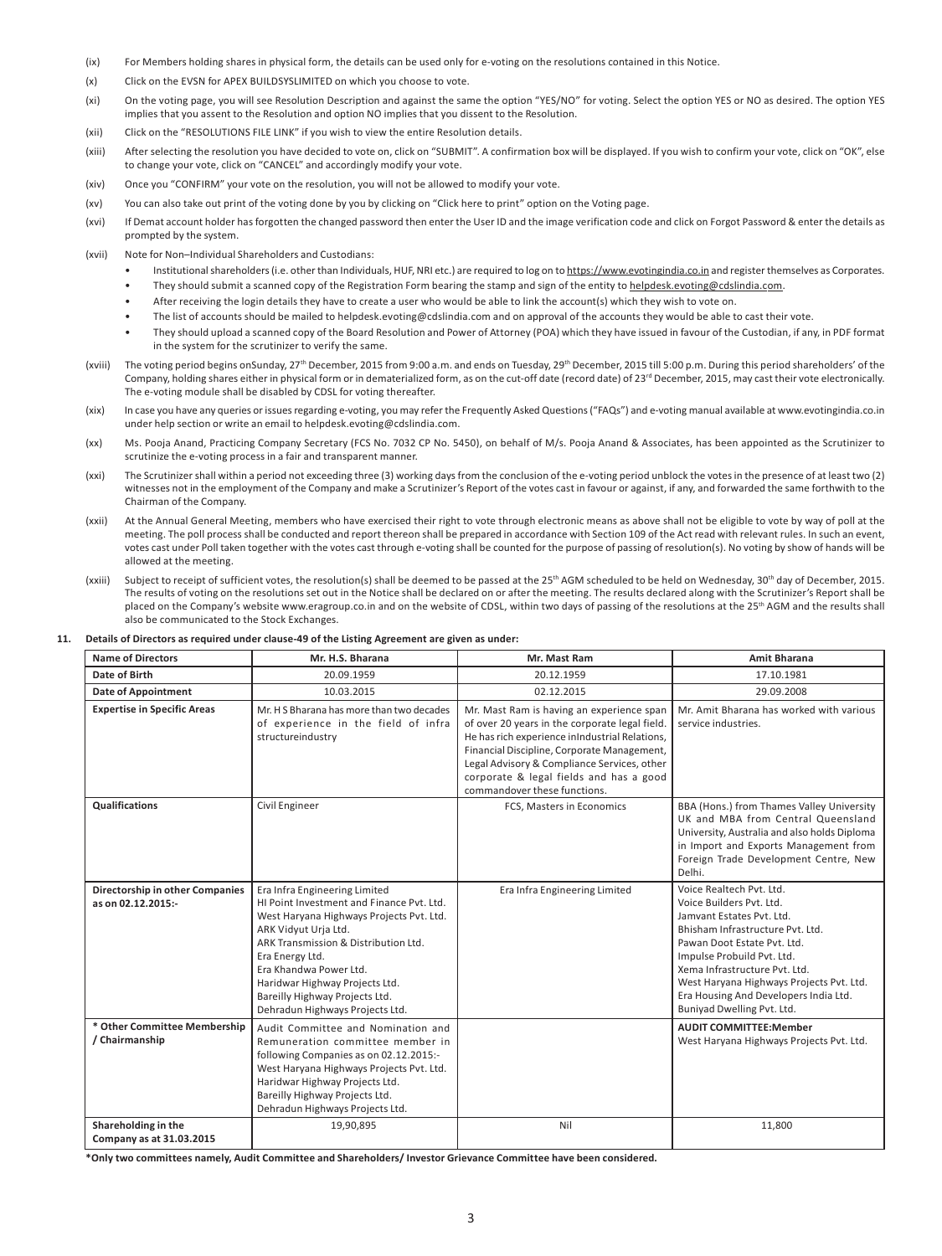- (ix) For Members holding shares in physical form, the details can be used only for e-voting on the resolutions contained in this Notice.
- (x) Click on the EVSN for APEX BUILDSYSLIMITED on which you choose to vote.
- (xi) On the voting page, you will see Resolution Description and against the same the option "YES/NO" for voting. Select the option YES or NO as desired. The option YES implies that you assent to the Resolution and option NO implies that you dissent to the Resolution.
- (xii) Click on the "RESOLUTIONS FILE LINK" if you wish to view the entire Resolution details.
- (xiii) After selecting the resolution you have decided to vote on, click on "SUBMIT". A confirmation box will be displayed. If you wish to confirm your vote, click on "OK", else to change your vote, click on "CANCEL" and accordingly modify your vote.
- (xiv) Once you "CONFIRM" your vote on the resolution, you will not be allowed to modify your vote.
- (xv) You can also take out print of the voting done by you by clicking on "Click here to print" option on the Voting page.
- (xvi) If Demat account holder has forgotten the changed password then enter the User ID and the image verification code and click on Forgot Password & enter the details as prompted by the system.
- (xvii) Note for Non–Individual Shareholders and Custodians:
	- Institutional shareholders (i.e. other than Individuals, HUF, NRI etc.) are required to log on to https://www.evotingindia.co.in and register themselves as Corporates.
	- They should submit a scanned copy of the Registration Form bearing the stamp and sign of the entity to helpdesk.evoting@cdslindia.com.
	- After receiving the login details they have to create a user who would be able to link the account(s) which they wish to vote on.
	- The list of accounts should be mailed to helpdesk.evoting@cdslindia.com and on approval of the accounts they would be able to cast their vote.
	- They should upload a scanned copy of the Board Resolution and Power of Attorney (POA) which they have issued in favour of the Custodian, if any, in PDF format in the system for the scrutinizer to verify the same.
- (xviii) The voting period begins onSunday, 27<sup>th</sup> December, 2015 from 9:00 a.m. and ends on Tuesday, 29<sup>th</sup> December, 2015 till 5:00 p.m. During this period shareholders' of the Company, holding shares either in physical form or in dematerialized form, as on the cut-off date (record date) of 23<sup>rd</sup> December, 2015, may cast their vote electronically. The e-voting module shall be disabled by CDSL for voting thereafter.
- (xix) In case you have any queries or issues regarding e-voting, you may refer the Frequently Asked Questions ("FAQs") and e-voting manual available at www.evotingindia.co.in under help section or write an email to helpdesk.evoting@cdslindia.com.
- (xx) Ms. Pooja Anand, Practicing Company Secretary (FCS No. 7032 CP No. 5450), on behalf of M/s. Pooja Anand & Associates, has been appointed as the Scrutinizer to scrutinize the e-voting process in a fair and transparent manner.
- (xxi) The Scrutinizer shall within a period not exceeding three (3) working days from the conclusion of the e-voting period unblock the votes in the presence of at least two (2) witnesses not in the employment of the Company and make a Scrutinizer's Report of the votes cast in favour or against, if any, and forwarded the same forthwith to the Chairman of the Company.
- (xxii) At the Annual General Meeting, members who have exercised their right to vote through electronic means as above shall not be eligible to vote by way of poll at the meeting. The poll process shall be conducted and report thereon shall be prepared in accordance with Section 109 of the Act read with relevant rules. In such an event, votes cast under Poll taken together with the votes cast through e-voting shall be counted for the purpose of passing of resolution(s). No voting by show of hands will be allowed at the meeting.
- (xxiii) Subject to receipt of sufficient votes, the resolution(s) shall be deemed to be passed at the 25<sup>th</sup> AGM scheduled to be held on Wednesday, 30<sup>th</sup> day of December, 2015. The results of voting on the resolutions set out in the Notice shall be declared on or after the meeting. The results declared along with the Scrutinizer's Report shall be placed on the Company's website www.eragroup.co.in and on the website of CDSL, within two days of passing of the resolutions at the 25<sup>th</sup> AGM and the results shall also be communicated to the Stock Exchanges.

#### **11. Details of Directors as required under clause-49 of the Listing Agreement are given as under:**

| <b>Name of Directors</b>                              | Mr. H.S. Bharana                                                                                                                                                                                                                                                                                                                           | Mr. Mast Ram                                                                                                                                                                                                                                                                                                           | <b>Amit Bharana</b>                                                                                                                                                                                                                                                                                                                    |
|-------------------------------------------------------|--------------------------------------------------------------------------------------------------------------------------------------------------------------------------------------------------------------------------------------------------------------------------------------------------------------------------------------------|------------------------------------------------------------------------------------------------------------------------------------------------------------------------------------------------------------------------------------------------------------------------------------------------------------------------|----------------------------------------------------------------------------------------------------------------------------------------------------------------------------------------------------------------------------------------------------------------------------------------------------------------------------------------|
| Date of Birth                                         | 20.09.1959                                                                                                                                                                                                                                                                                                                                 | 20.12.1959                                                                                                                                                                                                                                                                                                             | 17.10.1981                                                                                                                                                                                                                                                                                                                             |
| <b>Date of Appointment</b>                            | 10.03.2015                                                                                                                                                                                                                                                                                                                                 | 02.12.2015                                                                                                                                                                                                                                                                                                             | 29.09.2008                                                                                                                                                                                                                                                                                                                             |
| <b>Expertise in Specific Areas</b>                    | Mr. H S Bharana has more than two decades<br>of experience in the field of infra<br>structureindustry                                                                                                                                                                                                                                      | Mr. Mast Ram is having an experience span<br>of over 20 years in the corporate legal field.<br>He has rich experience inIndustrial Relations,<br>Financial Discipline, Corporate Management,<br>Legal Advisory & Compliance Services, other<br>corporate & legal fields and has a good<br>commandover these functions. | Mr. Amit Bharana has worked with various<br>service industries.                                                                                                                                                                                                                                                                        |
| <b>Qualifications</b>                                 | Civil Engineer                                                                                                                                                                                                                                                                                                                             | FCS, Masters in Economics                                                                                                                                                                                                                                                                                              | BBA (Hons.) from Thames Valley University<br>UK and MBA from Central Queensland<br>University, Australia and also holds Diploma<br>in Import and Exports Management from<br>Foreign Trade Development Centre, New<br>Delhi.                                                                                                            |
| Directorship in other Companies<br>as on 02.12.2015:- | Era Infra Engineering Limited<br>HI Point Investment and Finance Pvt. Ltd.<br>West Haryana Highways Projects Pvt. Ltd.<br>ARK Vidyut Urja Ltd.<br>ARK Transmission & Distribution Ltd.<br>Era Energy Ltd.<br>Era Khandwa Power Ltd.<br>Haridwar Highway Projects Ltd.<br>Bareilly Highway Projects Ltd.<br>Dehradun Highways Projects Ltd. | Era Infra Engineering Limited                                                                                                                                                                                                                                                                                          | Voice Realtech Pvt. Ltd.<br>Voice Builders Pvt. Ltd.<br>Jamvant Estates Pvt. Ltd.<br>Bhisham Infrastructure Pvt. Ltd.<br>Pawan Doot Estate Pvt. Ltd.<br>Impulse Probuild Pvt. Ltd.<br>Xema Infrastructure Pvt. Ltd.<br>West Haryana Highways Projects Pvt. Ltd.<br>Era Housing And Developers India Ltd.<br>Buniyad Dwelling Pvt. Ltd. |
| * Other Committee Membership<br>/ Chairmanship        | Audit Committee and Nomination and<br>Remuneration committee member in<br>following Companies as on 02.12.2015:-<br>West Haryana Highways Projects Pvt. Ltd.<br>Haridwar Highway Projects Ltd.<br>Bareilly Highway Projects Ltd.<br>Dehradun Highways Projects Ltd.                                                                        |                                                                                                                                                                                                                                                                                                                        | <b>AUDIT COMMITTEE:Member</b><br>West Haryana Highways Projects Pvt. Ltd.                                                                                                                                                                                                                                                              |
| Shareholding in the<br>Company as at 31.03.2015       | 19,90,895                                                                                                                                                                                                                                                                                                                                  | Nil                                                                                                                                                                                                                                                                                                                    | 11,800                                                                                                                                                                                                                                                                                                                                 |

**\*Only two committees namely, Audit Committee and Shareholders/ Investor Grievance Committee have been considered.**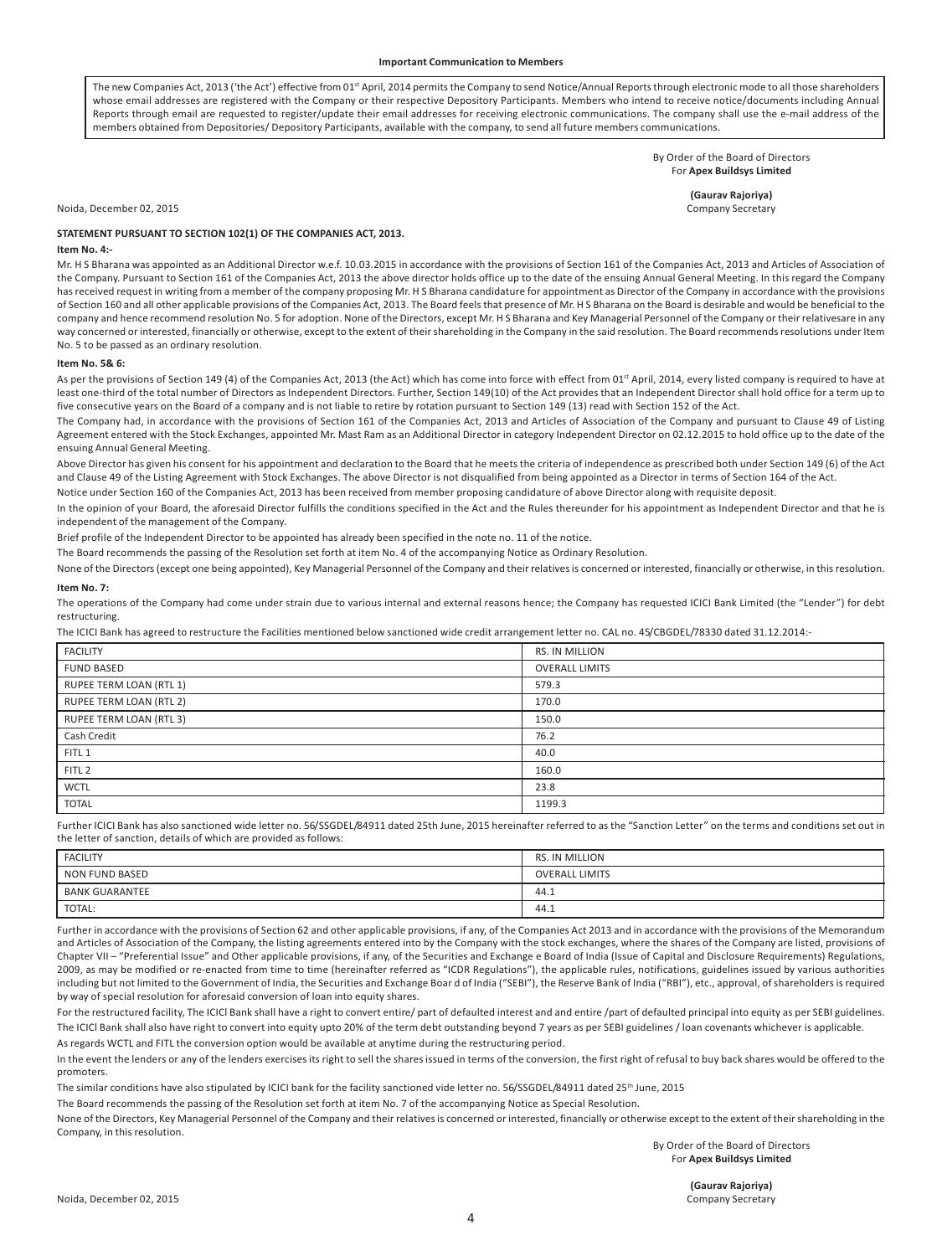The new Companies Act, 2013 ('the Act') effective from 01<sup>st</sup> April, 2014 permits the Company to send Notice/Annual Reports through electronic mode to all those shareholders whose email addresses are registered with the Company or their respective Depository Participants. Members who intend to receive notice/documents including Annual Reports through email are requested to register/update their email addresses for receiving electronic communications. The company shall use the e-mail address of the members obtained from Depositories/ Depository Participants, available with the company, to send all future members communications.

> By Order of the Board of Directors For **Apex Buildsys Limited**

> > **(Gaurav Rajoriya)**

Noida, December 02, 2015 Company Secretary

#### **STATEMENT PURSUANT TO SECTION 102(1) OF THE COMPANIES ACT, 2013.**

#### **Item No. 4:-**

Mr. H S Bharana was appointed as an Additional Director w.e.f. 10.03.2015 in accordance with the provisions of Section 161 of the Companies Act, 2013 and Articles of Association of the Company. Pursuant to Section 161 of the Companies Act, 2013 the above director holds office up to the date of the ensuing Annual General Meeting. In this regard the Company has received request in writing from a member of the company proposing Mr. H S Bharana candidature for appointment as Director of the Company in accordance with the provisions of Section 160 and all other applicable provisions of the Companies Act, 2013. The Board feels that presence of Mr. H S Bharana on the Board is desirable and would be beneficial to the company and hence recommend resolution No. 5 for adoption. None of the Directors, except Mr. H S Bharana and Key Managerial Personnel of the Company or their relativesare in any way concerned or interested, financially or otherwise, except to the extent of their shareholding in the Company in the said resolution. The Board recommends resolutions under Item No. 5 to be passed as an ordinary resolution.

#### **Item No. 5& 6:**

As per the provisions of Section 149 (4) of the Companies Act, 2013 (the Act) which has come into force with effect from 01<sup>st</sup> April, 2014, every listed company is required to have at least one-third of the total number of Directors as Independent Directors. Further, Section 149(10) of the Act provides that an Independent Director shall hold office for a term up to five consecutive years on the Board of a company and is not liable to retire by rotation pursuant to Section 149 (13) read with Section 152 of the Act.

The Company had, in accordance with the provisions of Section 161 of the Companies Act, 2013 and Articles of Association of the Company and pursuant to Clause 49 of Listing Agreement entered with the Stock Exchanges, appointed Mr. Mast Ram as an Additional Director in category Independent Director on 02.12.2015 to hold office up to the date of the ensuing Annual General Meeting.

Above Director has given his consent for his appointment and declaration to the Board that he meets the criteria of independence as prescribed both under Section 149 (6) of the Act and Clause 49 of the Listing Agreement with Stock Exchanges. The above Director is not disqualified from being appointed as a Director in terms of Section 164 of the Act. Notice under Section 160 of the Companies Act, 2013 has been received from member proposing candidature of above Director along with requisite deposit.

In the opinion of your Board, the aforesaid Director fulfills the conditions specified in the Act and the Rules thereunder for his appointment as Independent Director and that he is

independent of the management of the Company.

Brief profile of the Independent Director to be appointed has already been specified in the note no. 11 of the notice.

The Board recommends the passing of the Resolution set forth at item No. 4 of the accompanying Notice as Ordinary Resolution.

None of the Directors (except one being appointed), Key Managerial Personnel of the Company and their relatives is concerned or interested, financially or otherwise, in this resolution.

#### **Item No. 7:**

The operations of the Company had come under strain due to various internal and external reasons hence; the Company has requested ICICI Bank Limited (the "Lender") for debt restructuring.

The ICICI Bank has agreed to restructure the Facilities mentioned below sanctioned wide credit arrangement letter no. CAL no. 45/CBGDEL/78330 dated 31.12.2014:-

| <b>FACILITY</b>         | RS. IN MILLION        |
|-------------------------|-----------------------|
| <b>FUND BASED</b>       | <b>OVERALL LIMITS</b> |
| RUPEE TERM LOAN (RTL 1) | 579.3                 |
| RUPEE TERM LOAN (RTL 2) | 170.0                 |
| RUPEE TERM LOAN (RTL 3) | 150.0                 |
| Cash Credit             | 76.2                  |
| FITL 1                  | 40.0                  |
| FITL <sub>2</sub>       | 160.0                 |
| <b>WCTL</b>             | 23.8                  |
| <b>TOTAL</b>            | 1199.3                |

Further ICICI Bank has also sanctioned wide letter no. 56/SSGDEL/84911 dated 25th June, 2015 hereinafter referred to as the "Sanction Letter" on the terms and conditions set out in the letter of sanction, details of which are provided as follows:

| <b>FACILITY</b>       | RS. IN MILLION        |
|-----------------------|-----------------------|
| <b>NON FUND BASED</b> | <b>OVERALL LIMITS</b> |
| <b>BANK GUARANTEE</b> | 44.1                  |
| TOTAL:                | 44.1                  |

Further in accordance with the provisions of Section 62 and other applicable provisions, if any, of the Companies Act 2013 and in accordance with the provisions of the Memorandum and Articles of Association of the Company, the listing agreements entered into by the Company with the stock exchanges, where the shares of the Company are listed, provisions of Chapter VII - "Preferential Issue" and Other applicable provisions, if any, of the Securities and Exchange e Board of India (Issue of Capital and Disclosure Requirements) Regulations, 2009, as may be modified or re-enacted from time to time (hereinafter referred as "ICDR Regulations"), the applicable rules, notifications, guidelines issued by various authorities including but not limited to the Government of India, the Securities and Exchange Boar d of India ("SEBI"), the Reserve Bank of India ("RBI"), etc., approval, of shareholders is required by way of special resolution for aforesaid conversion of loan into equity shares.

For the restructured facility, The ICICI Bank shall have a right to convert entire/ part of defaulted interest and and entire /part of defaulted principal into equity as per SEBI guidelines. The ICICl Bank shall also have right to convert into equity upto 20% of the term debt outstanding beyond 7 years as per SEBI guidelines / loan covenants whichever is applicable.

As regards WCTL and FITL the conversion option would be available at anytime during the restructuring period.

In the event the lenders or any of the lenders exercises its right to sell the shares issued in terms of the conversion, the first right of refusal to buy back shares would be offered to the promoters.

The similar conditions have also stipulated by ICICI bank for the facility sanctioned vide letter no. 56/SSGDEL/84911 dated 25<sup>th</sup> June, 2015

The Board recommends the passing of the Resolution set forth at item No. 7 of the accompanying Notice as Special Resolution.

None of the Directors, Key Managerial Personnel of the Company and their relatives is concerned or interested, financially or otherwise except to the extent of their shareholding in the Company, in this resolution.

> By Order of the Board of Directors For **Apex Buildsys Limited**

> > **(Gaurav Rajoriya)**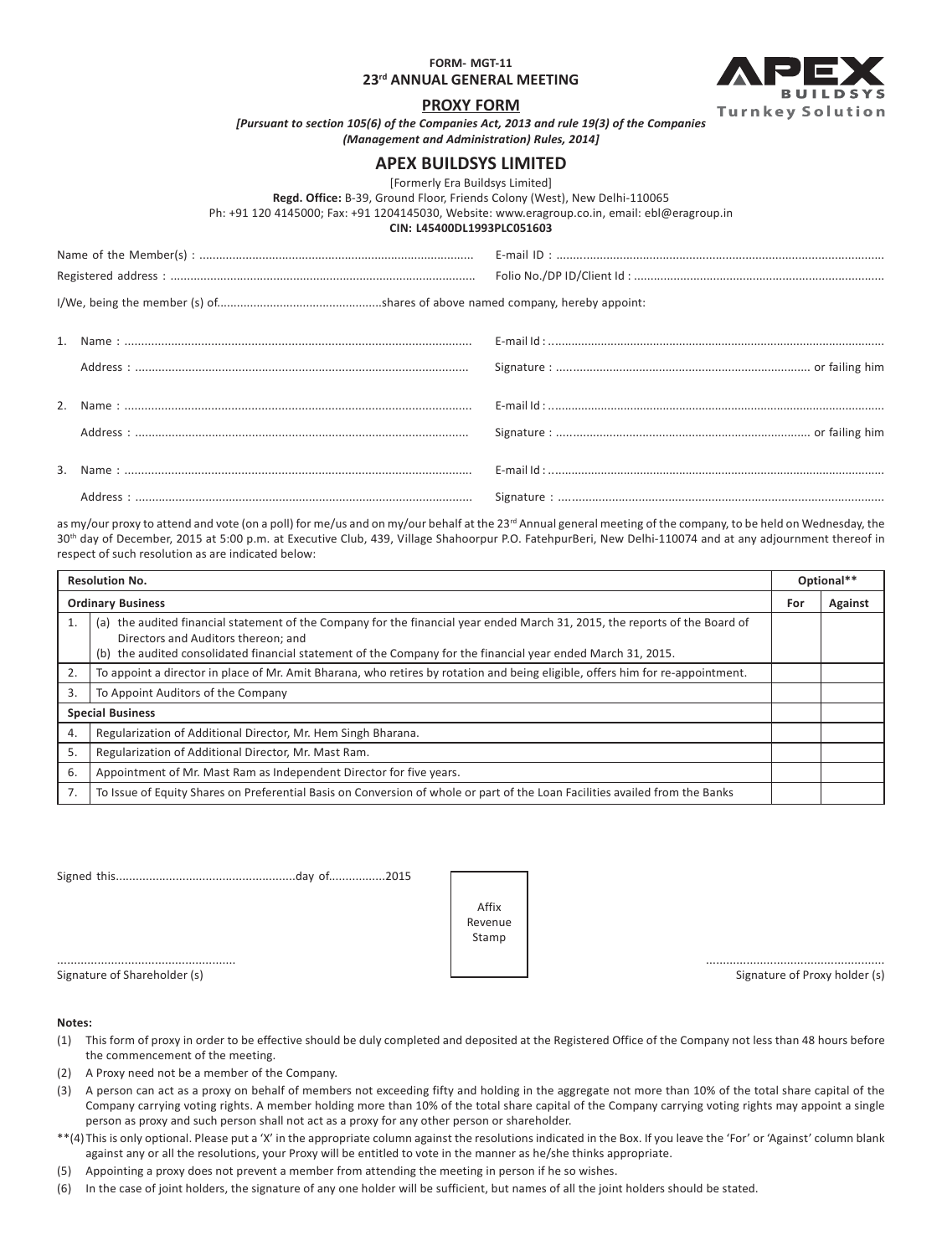**FORM- MGT-11**

**23rd ANNUAL GENERAL MEETING**



### **PROXY FORM**

*[Pursuant to section 105(6) of the Companies Act, 2013 and rule 19(3) of the Companies (Management and Administration) Rules, 2014]*

## **APEX BUILDSYS LIMITED**

[Formerly Era Buildsys Limited]

**Regd. Office:** B-39, Ground Floor, Friends Colony (West), New Delhi-110065

Ph: +91 120 4145000; Fax: +91 1204145030, Website: www.eragroup.co.in, email: ebl@eragroup.in

#### **CIN: L45400DL1993PLC051603**

as my/our proxy to attend and vote (on a poll) for me/us and on my/our behalf at the 23<sup>rd</sup> Annual general meeting of the company, to be held on Wednesday, the 30<sup>th</sup> day of December, 2015 at 5:00 p.m. at Executive Club, 439, Village Shahoorpur P.O. FatehpurBeri, New Delhi-110074 and at any adjournment thereof in respect of such resolution as are indicated below:

| <b>Resolution No.</b> |                                                                                                                                                                                                                                                                                    | Optional** |         |
|-----------------------|------------------------------------------------------------------------------------------------------------------------------------------------------------------------------------------------------------------------------------------------------------------------------------|------------|---------|
|                       | <b>Ordinary Business</b>                                                                                                                                                                                                                                                           | For        | Against |
| 1.                    | (a) the audited financial statement of the Company for the financial year ended March 31, 2015, the reports of the Board of<br>Directors and Auditors thereon; and<br>(b) the audited consolidated financial statement of the Company for the financial year ended March 31, 2015. |            |         |
| 2.                    | To appoint a director in place of Mr. Amit Bharana, who retires by rotation and being eligible, offers him for re-appointment.                                                                                                                                                     |            |         |
| 3.                    | To Appoint Auditors of the Company                                                                                                                                                                                                                                                 |            |         |
|                       | <b>Special Business</b>                                                                                                                                                                                                                                                            |            |         |
| 4.                    | Regularization of Additional Director, Mr. Hem Singh Bharana.                                                                                                                                                                                                                      |            |         |
| 5.                    | Regularization of Additional Director, Mr. Mast Ram.                                                                                                                                                                                                                               |            |         |
| 6.                    | Appointment of Mr. Mast Ram as Independent Director for five years.                                                                                                                                                                                                                |            |         |
| 7.                    | To Issue of Equity Shares on Preferential Basis on Conversion of whole or part of the Loan Facilities availed from the Banks                                                                                                                                                       |            |         |

Signed this......................................................day of.................2015

..................................................... ..................................................... Affix Revenue Stamp

Signature of Shareholder (s) and Signature of Proxy holder (s) Signature of Proxy holder (s)

#### **Notes:**

- (1) This form of proxy in order to be effective should be duly completed and deposited at the Registered Office of the Company not less than 48 hours before the commencement of the meeting.
- (2) A Proxy need not be a member of the Company.
- (3) A person can act as a proxy on behalf of members not exceeding fifty and holding in the aggregate not more than 10% of the total share capital of the Company carrying voting rights. A member holding more than 10% of the total share capital of the Company carrying voting rights may appoint a single person as proxy and such person shall not act as a proxy for any other person or shareholder.
- \*\*(4) This is only optional. Please put a 'X' in the appropriate column against the resolutions indicated in the Box. If you leave the 'For' or 'Against' column blank against any or all the resolutions, your Proxy will be entitled to vote in the manner as he/she thinks appropriate.
- (5) Appointing a proxy does not prevent a member from attending the meeting in person if he so wishes.
- (6) In the case of joint holders, the signature of any one holder will be sufficient, but names of all the joint holders should be stated.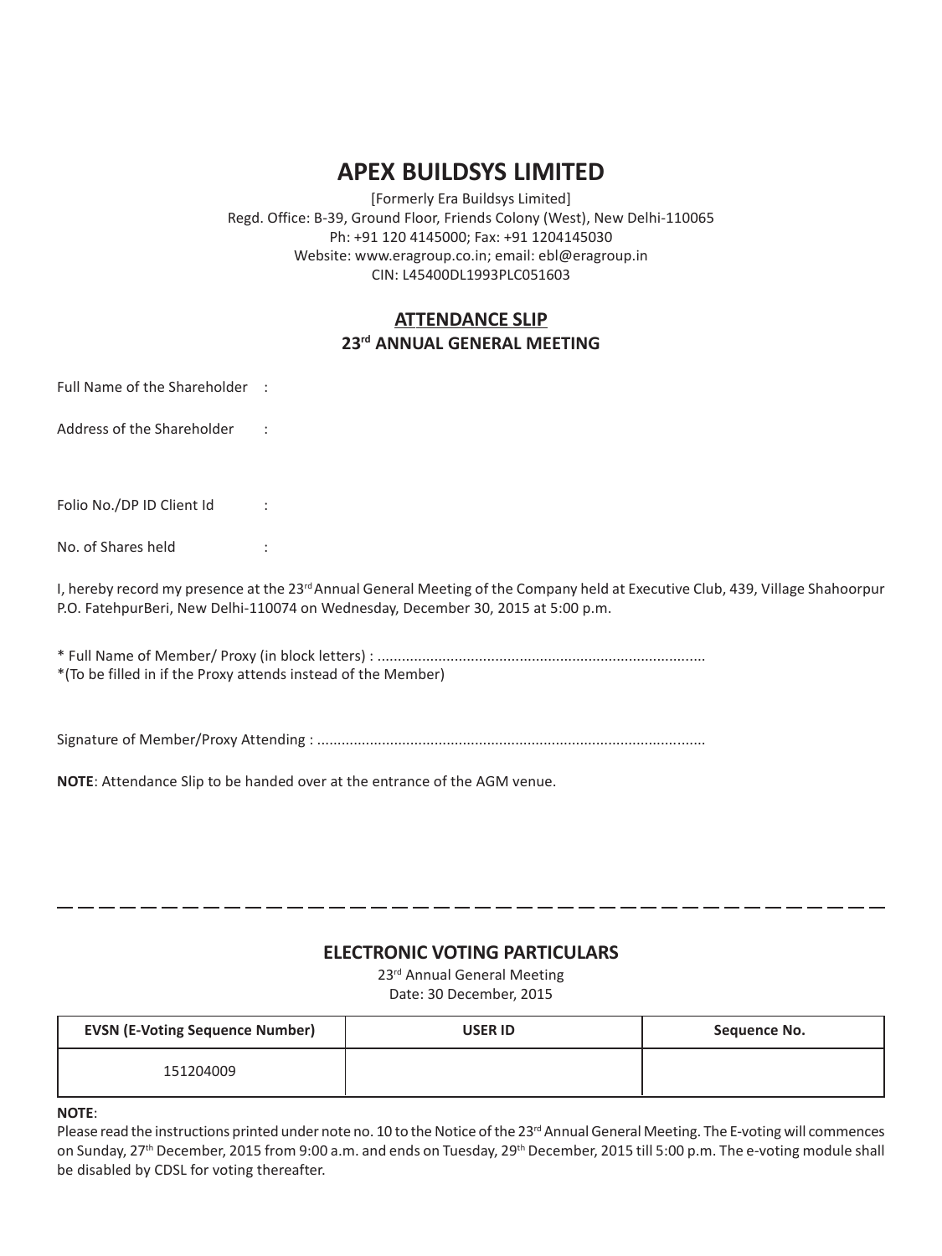# **APEX BUILDSYS LIMITED**

[Formerly Era Buildsys Limited] Regd. Office: B-39, Ground Floor, Friends Colony (West), New Delhi-110065 Ph: +91 120 4145000; Fax: +91 1204145030 Website: www.eragroup.co.in; email: ebl@eragroup.in CIN: L45400DL1993PLC051603

# **ATTENDANCE SLIP 23rd ANNUAL GENERAL MEETING**

Full Name of the Shareholder :

Address of the Shareholder :

Folio No./DP ID Client Id :

No. of Shares held :

I, hereby record my presence at the 23<sup>rd</sup> Annual General Meeting of the Company held at Executive Club, 439, Village Shahoorpur P.O. FatehpurBeri, New Delhi-110074 on Wednesday, December 30, 2015 at 5:00 p.m.

\* Full Name of Member/ Proxy (in block letters) : ................................................................................. \*(To be filled in if the Proxy attends instead of the Member)

Signature of Member/Proxy Attending : ................................................................................................

**NOTE**: Attendance Slip to be handed over at the entrance of the AGM venue.

## **ELECTRONIC VOTING PARTICULARS**

-------------------------------

23<sup>rd</sup> Annual General Meeting Date: 30 December, 2015

| <b>EVSN (E-Voting Sequence Number)</b> | <b>USER ID</b> | Sequence No. |
|----------------------------------------|----------------|--------------|
| 151204009                              |                |              |

**NOTE**:

Please read the instructions printed under note no. 10 to the Notice of the 23<sup>rd</sup> Annual General Meeting. The E-voting will commences on Sunday, 27<sup>th</sup> December, 2015 from 9:00 a.m. and ends on Tuesday, 29<sup>th</sup> December, 2015 till 5:00 p.m. The e-voting module shall be disabled by CDSL for voting thereafter.